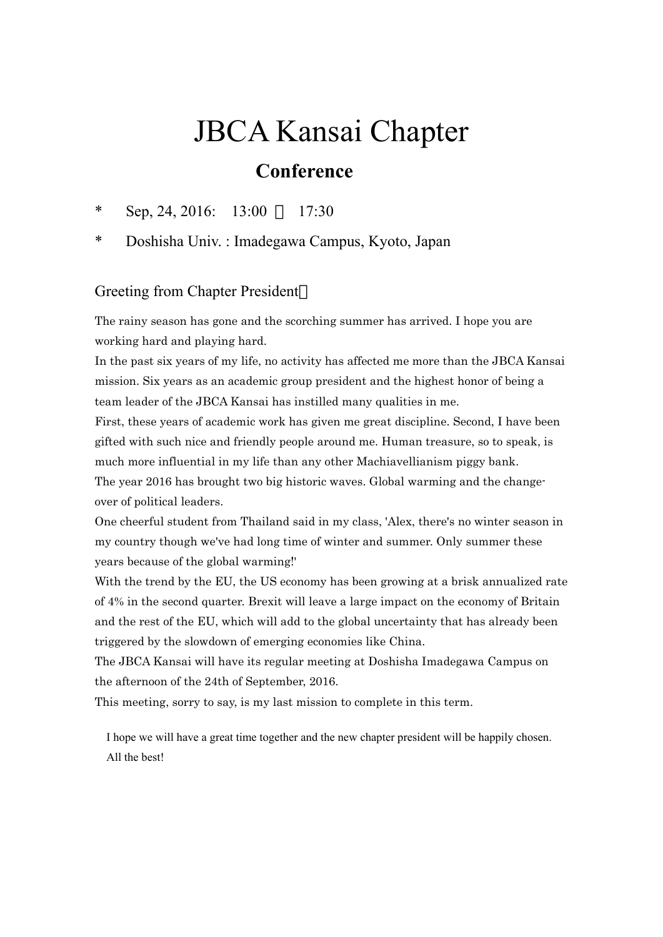## JBCA Kansai Chapter  **Conference**

\* Sep, 24, 2016: 13:00 17:30

\* Doshisha Univ. : Imadegawa Campus, Kyoto, Japan

## Greeting from Chapter President

The rainy season has gone and the scorching summer has arrived. I hope you are working hard and playing hard.

In the past six years of my life, no activity has affected me more than the JBCA Kansai mission. Six years as an academic group president and the highest honor of being a team leader of the JBCA Kansai has instilled many qualities in me.

First, these years of academic work has given me great discipline. Second, I have been gifted with such nice and friendly people around me. Human treasure, so to speak, is much more influential in my life than any other Machiavellianism piggy bank. The year 2016 has brought two big historic waves. Global warming and the changeover of political leaders.

One cheerful student from Thailand said in my class, 'Alex, there's no winter season in my country though we've had long time of winter and summer. Only summer these years because of the global warming!'

With the trend by the EU, the US economy has been growing at a brisk annualized rate of 4% in the second quarter. Brexit will leave a large impact on the economy of Britain and the rest of the EU, which will add to the global uncertainty that has already been triggered by the slowdown of emerging economies like China.

The JBCA Kansai will have its regular meeting at Doshisha Imadegawa Campus on the afternoon of the 24th of September, 2016.

This meeting, sorry to say, is my last mission to complete in this term.

 I hope we will have a great time together and the new chapter president will be happily chosen. All the best!